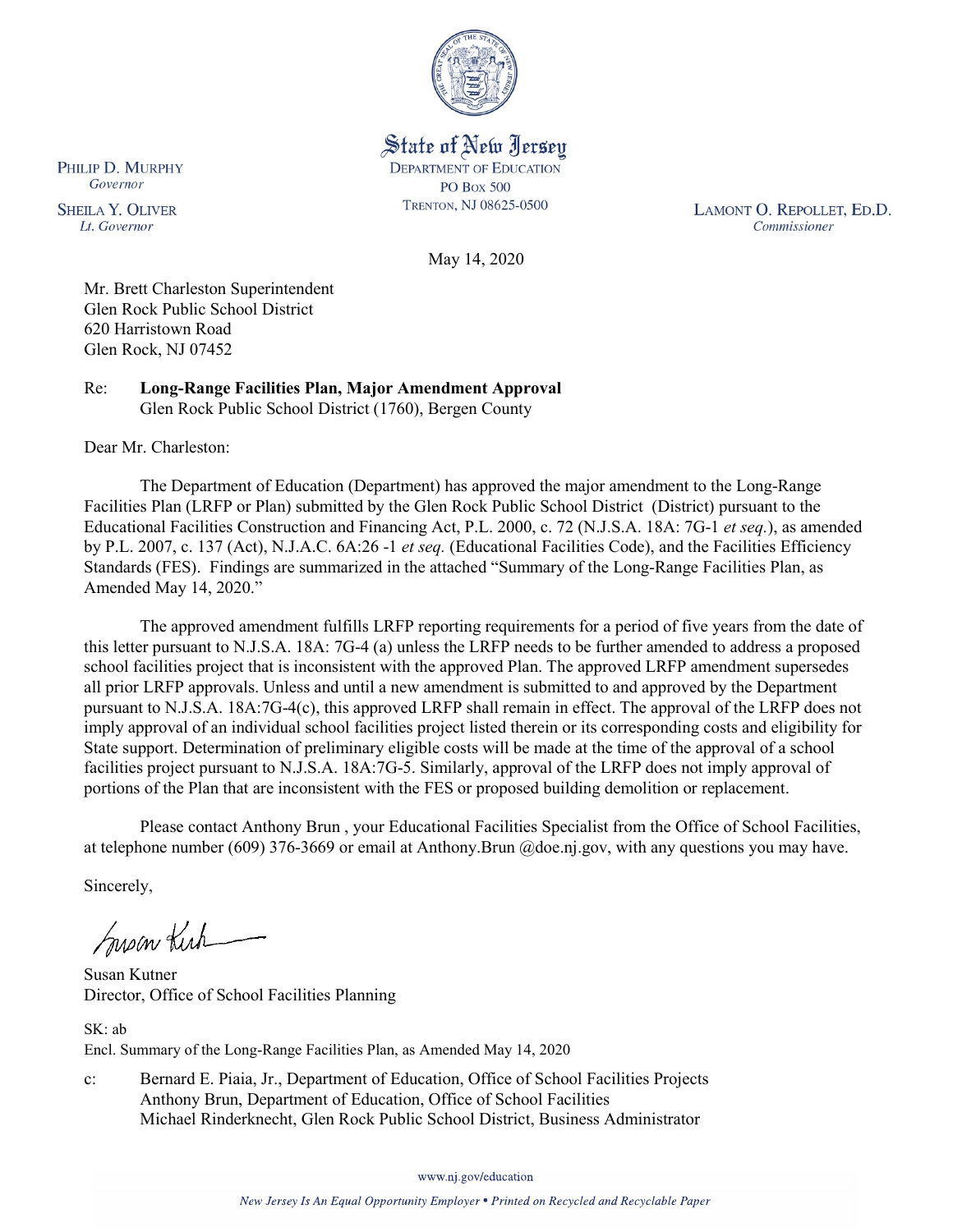

State of New Jersey **DEPARTMENT OF EDUCATION PO Box 500** TRENTON, NJ 08625-0500

LAMONT O. REPOLLET, ED.D. Commissioner

May 14, 2020

Mr. Brett Charleston Superintendent Glen Rock Public School District 620 Harristown Road Glen Rock, NJ 07452

Re: **Long-Range Facilities Plan, Major Amendment Approval** Glen Rock Public School District (1760), Bergen County

Dear Mr. Charleston:

PHILIP D. MURPHY Governor

**SHEILA Y. OLIVER** 

Lt. Governor

The Department of Education (Department) has approved the major amendment to the Long-Range Facilities Plan (LRFP or Plan) submitted by the Glen Rock Public School District (District) pursuant to the Educational Facilities Construction and Financing Act, P.L. 2000, c. 72 (N.J.S.A. 18A: 7G-1 *et seq.*), as amended by P.L. 2007, c. 137 (Act), N.J.A.C. 6A:26 -1 *et seq.* (Educational Facilities Code), and the Facilities Efficiency Standards (FES). Findings are summarized in the attached "Summary of the Long-Range Facilities Plan, as Amended May 14, 2020."

The approved amendment fulfills LRFP reporting requirements for a period of five years from the date of this letter pursuant to N.J.S.A. 18A: 7G-4 (a) unless the LRFP needs to be further amended to address a proposed school facilities project that is inconsistent with the approved Plan. The approved LRFP amendment supersedes all prior LRFP approvals. Unless and until a new amendment is submitted to and approved by the Department pursuant to N.J.S.A. 18A:7G-4(c), this approved LRFP shall remain in effect. The approval of the LRFP does not imply approval of an individual school facilities project listed therein or its corresponding costs and eligibility for State support. Determination of preliminary eligible costs will be made at the time of the approval of a school facilities project pursuant to N.J.S.A. 18A:7G-5. Similarly, approval of the LRFP does not imply approval of portions of the Plan that are inconsistent with the FES or proposed building demolition or replacement.

Please contact Anthony Brun , your Educational Facilities Specialist from the Office of School Facilities, at telephone number (609) 376-3669 or email at Anthony.Brun @doe.nj.gov, with any questions you may have.

Sincerely,

Susan Kich

Susan Kutner Director, Office of School Facilities Planning

SK: ab Encl. Summary of the Long-Range Facilities Plan, as Amended May 14, 2020

c: Bernard E. Piaia, Jr., Department of Education, Office of School Facilities Projects Anthony Brun, Department of Education, Office of School Facilities Michael Rinderknecht, Glen Rock Public School District, Business Administrator

www.nj.gov/education

New Jersey Is An Equal Opportunity Employer . Printed on Recycled and Recyclable Paper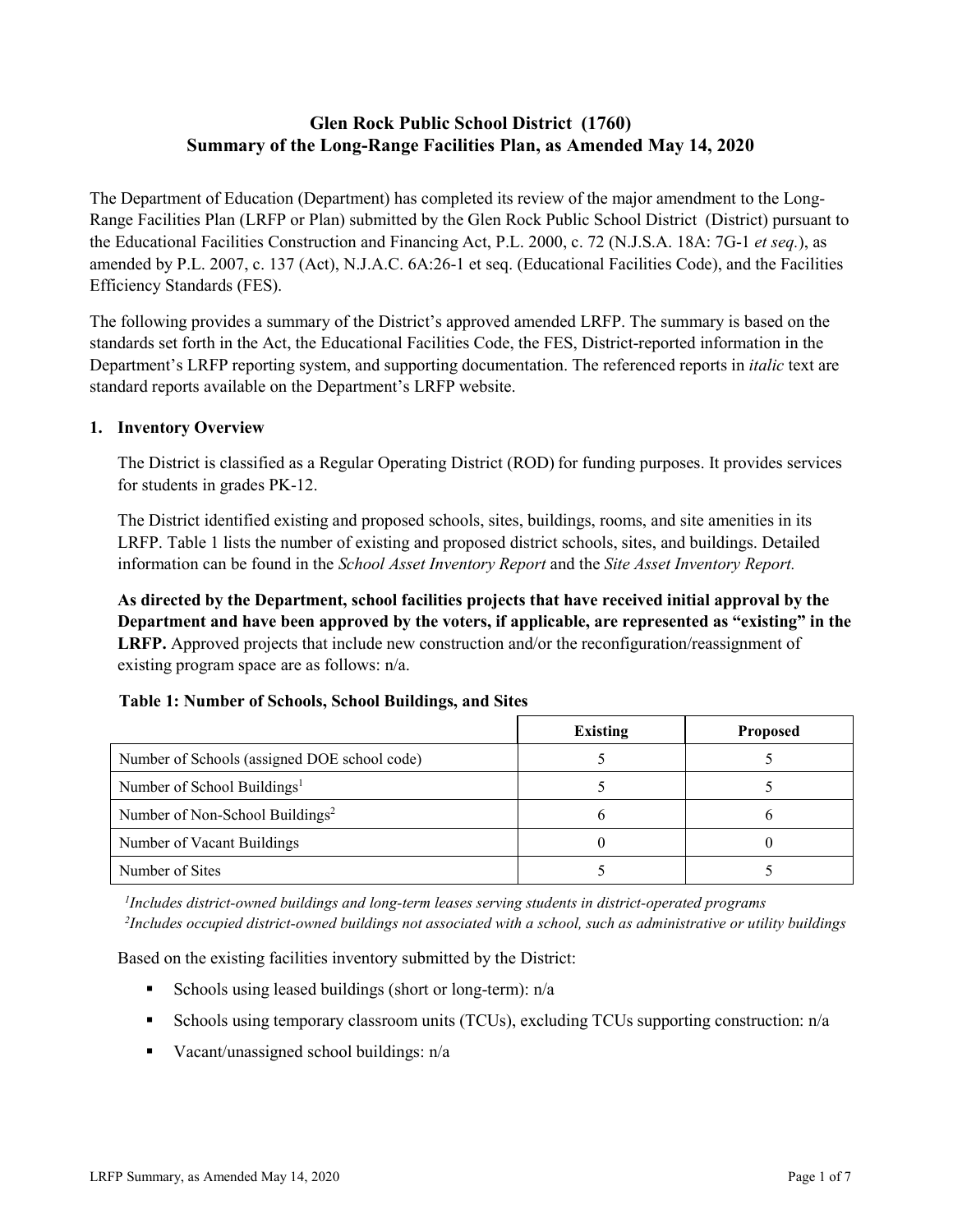# **Glen Rock Public School District (1760) Summary of the Long-Range Facilities Plan, as Amended May 14, 2020**

The Department of Education (Department) has completed its review of the major amendment to the Long-Range Facilities Plan (LRFP or Plan) submitted by the Glen Rock Public School District (District) pursuant to the Educational Facilities Construction and Financing Act, P.L. 2000, c. 72 (N.J.S.A. 18A: 7G-1 *et seq.*), as amended by P.L. 2007, c. 137 (Act), N.J.A.C. 6A:26-1 et seq. (Educational Facilities Code), and the Facilities Efficiency Standards (FES).

The following provides a summary of the District's approved amended LRFP. The summary is based on the standards set forth in the Act, the Educational Facilities Code, the FES, District-reported information in the Department's LRFP reporting system, and supporting documentation. The referenced reports in *italic* text are standard reports available on the Department's LRFP website.

### **1. Inventory Overview**

The District is classified as a Regular Operating District (ROD) for funding purposes. It provides services for students in grades PK-12.

The District identified existing and proposed schools, sites, buildings, rooms, and site amenities in its LRFP. Table 1 lists the number of existing and proposed district schools, sites, and buildings. Detailed information can be found in the *School Asset Inventory Report* and the *Site Asset Inventory Report.*

**As directed by the Department, school facilities projects that have received initial approval by the Department and have been approved by the voters, if applicable, are represented as "existing" in the LRFP.** Approved projects that include new construction and/or the reconfiguration/reassignment of existing program space are as follows: n/a.

#### **Table 1: Number of Schools, School Buildings, and Sites**

|                                              | Existing | <b>Proposed</b> |
|----------------------------------------------|----------|-----------------|
| Number of Schools (assigned DOE school code) |          |                 |
| Number of School Buildings <sup>1</sup>      |          |                 |
| Number of Non-School Buildings <sup>2</sup>  |          |                 |
| Number of Vacant Buildings                   |          |                 |
| Number of Sites                              |          |                 |

*1 Includes district-owned buildings and long-term leases serving students in district-operated programs 2 Includes occupied district-owned buildings not associated with a school, such as administrative or utility buildings*

Based on the existing facilities inventory submitted by the District:

- Schools using leased buildings (short or long-term):  $n/a$
- Schools using temporary classroom units (TCUs), excluding TCUs supporting construction: n/a
- Vacant/unassigned school buildings:  $n/a$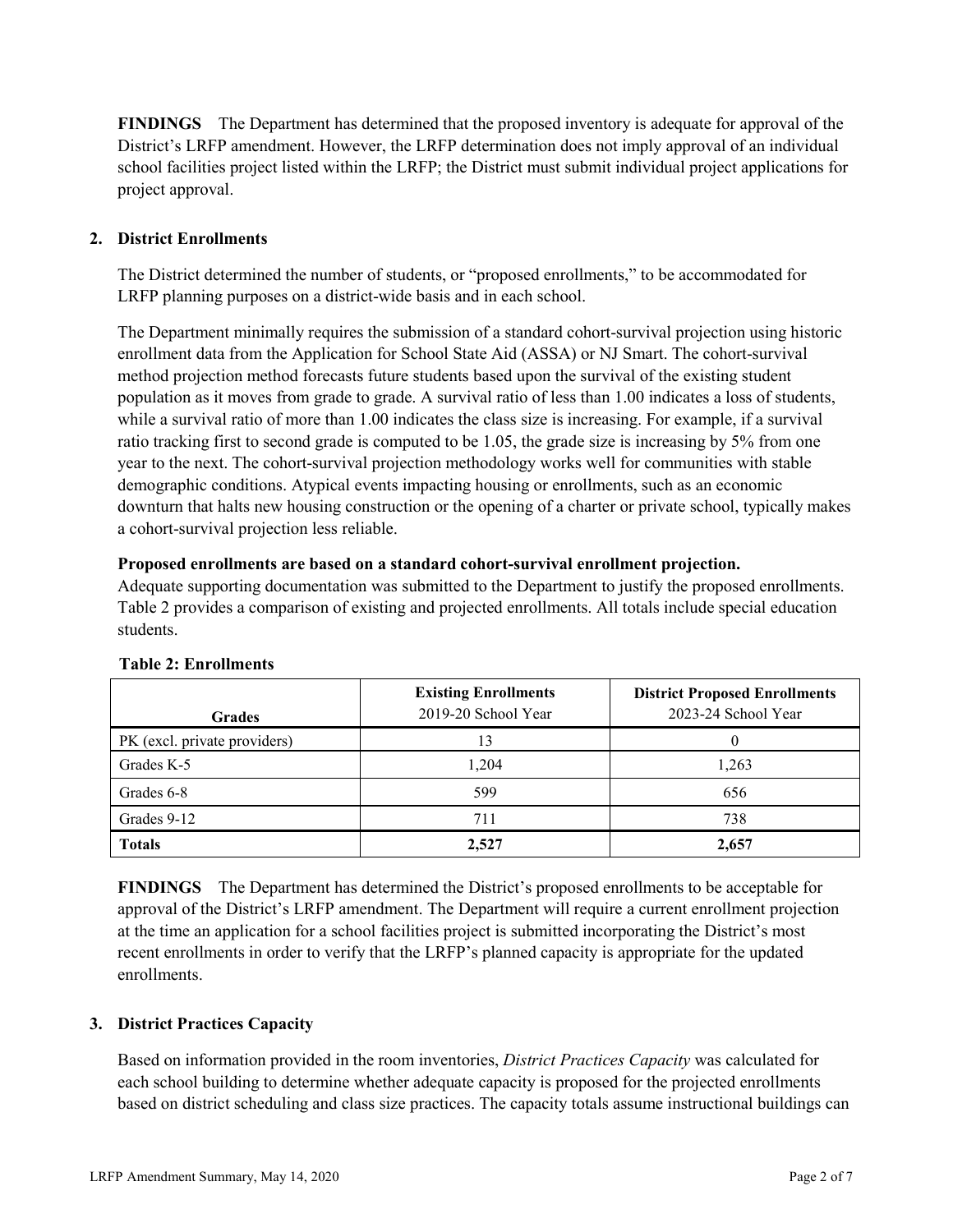**FINDINGS** The Department has determined that the proposed inventory is adequate for approval of the District's LRFP amendment. However, the LRFP determination does not imply approval of an individual school facilities project listed within the LRFP; the District must submit individual project applications for project approval.

# **2. District Enrollments**

The District determined the number of students, or "proposed enrollments," to be accommodated for LRFP planning purposes on a district-wide basis and in each school.

The Department minimally requires the submission of a standard cohort-survival projection using historic enrollment data from the Application for School State Aid (ASSA) or NJ Smart. The cohort-survival method projection method forecasts future students based upon the survival of the existing student population as it moves from grade to grade. A survival ratio of less than 1.00 indicates a loss of students, while a survival ratio of more than 1.00 indicates the class size is increasing. For example, if a survival ratio tracking first to second grade is computed to be 1.05, the grade size is increasing by 5% from one year to the next. The cohort-survival projection methodology works well for communities with stable demographic conditions. Atypical events impacting housing or enrollments, such as an economic downturn that halts new housing construction or the opening of a charter or private school, typically makes a cohort-survival projection less reliable.

#### **Proposed enrollments are based on a standard cohort-survival enrollment projection.**

Adequate supporting documentation was submitted to the Department to justify the proposed enrollments. Table 2 provides a comparison of existing and projected enrollments. All totals include special education students.

| <b>Grades</b>                | <b>Existing Enrollments</b><br>2019-20 School Year | <b>District Proposed Enrollments</b><br>2023-24 School Year |
|------------------------------|----------------------------------------------------|-------------------------------------------------------------|
| PK (excl. private providers) |                                                    |                                                             |
| Grades K-5                   | 1.204                                              | 1,263                                                       |
| Grades 6-8                   | 599                                                | 656                                                         |
| Grades 9-12                  | 711                                                | 738                                                         |
| <b>Totals</b>                | 2,527                                              | 2,657                                                       |

#### **Table 2: Enrollments**

**FINDINGS** The Department has determined the District's proposed enrollments to be acceptable for approval of the District's LRFP amendment. The Department will require a current enrollment projection at the time an application for a school facilities project is submitted incorporating the District's most recent enrollments in order to verify that the LRFP's planned capacity is appropriate for the updated enrollments.

#### **3. District Practices Capacity**

Based on information provided in the room inventories, *District Practices Capacity* was calculated for each school building to determine whether adequate capacity is proposed for the projected enrollments based on district scheduling and class size practices. The capacity totals assume instructional buildings can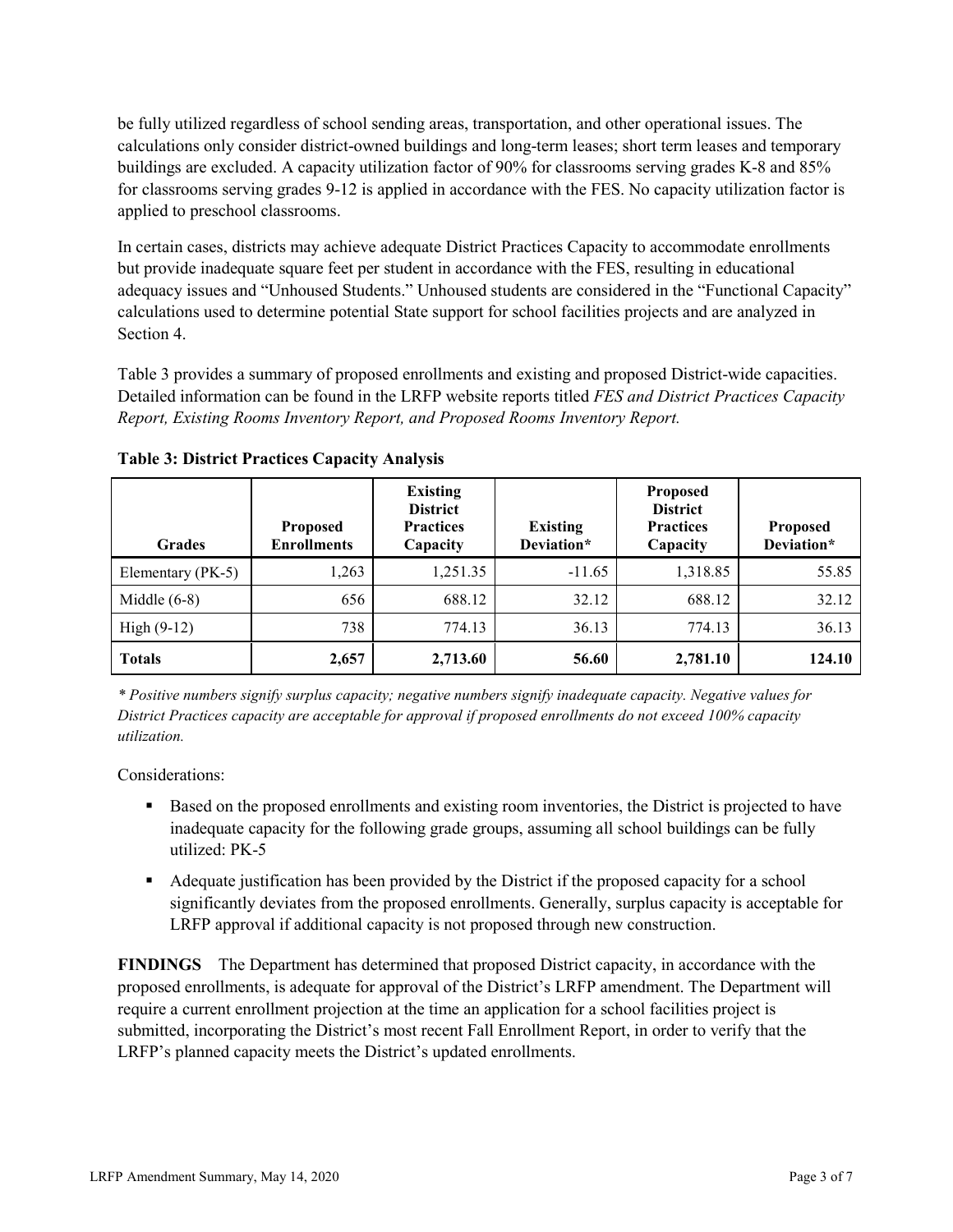be fully utilized regardless of school sending areas, transportation, and other operational issues. The calculations only consider district-owned buildings and long-term leases; short term leases and temporary buildings are excluded. A capacity utilization factor of 90% for classrooms serving grades K-8 and 85% for classrooms serving grades 9-12 is applied in accordance with the FES. No capacity utilization factor is applied to preschool classrooms.

In certain cases, districts may achieve adequate District Practices Capacity to accommodate enrollments but provide inadequate square feet per student in accordance with the FES, resulting in educational adequacy issues and "Unhoused Students." Unhoused students are considered in the "Functional Capacity" calculations used to determine potential State support for school facilities projects and are analyzed in Section 4.

Table 3 provides a summary of proposed enrollments and existing and proposed District-wide capacities. Detailed information can be found in the LRFP website reports titled *FES and District Practices Capacity Report, Existing Rooms Inventory Report, and Proposed Rooms Inventory Report.*

| <b>Grades</b>     | <b>Proposed</b><br><b>Enrollments</b> | <b>Existing</b><br><b>District</b><br><b>Practices</b><br>Capacity | <b>Existing</b><br>Deviation* | <b>Proposed</b><br><b>District</b><br><b>Practices</b><br>Capacity | <b>Proposed</b><br>Deviation* |
|-------------------|---------------------------------------|--------------------------------------------------------------------|-------------------------------|--------------------------------------------------------------------|-------------------------------|
| Elementary (PK-5) | 1,263                                 | 1,251.35                                                           | $-11.65$                      | 1,318.85                                                           | 55.85                         |
| Middle $(6-8)$    | 656                                   | 688.12                                                             | 32.12                         | 688.12                                                             | 32.12                         |
| High $(9-12)$     | 738                                   | 774.13                                                             | 36.13                         | 774.13                                                             | 36.13                         |
| <b>Totals</b>     | 2,657                                 | 2,713.60                                                           | 56.60                         | 2,781.10                                                           | 124.10                        |

**Table 3: District Practices Capacity Analysis**

*\* Positive numbers signify surplus capacity; negative numbers signify inadequate capacity. Negative values for District Practices capacity are acceptable for approval if proposed enrollments do not exceed 100% capacity utilization.*

Considerations:

- **Based on the proposed enrollments and existing room inventories, the District is projected to have** inadequate capacity for the following grade groups, assuming all school buildings can be fully utilized: PK-5
- Adequate justification has been provided by the District if the proposed capacity for a school significantly deviates from the proposed enrollments. Generally, surplus capacity is acceptable for LRFP approval if additional capacity is not proposed through new construction.

**FINDINGS**The Department has determined that proposed District capacity, in accordance with the proposed enrollments, is adequate for approval of the District's LRFP amendment. The Department will require a current enrollment projection at the time an application for a school facilities project is submitted, incorporating the District's most recent Fall Enrollment Report, in order to verify that the LRFP's planned capacity meets the District's updated enrollments.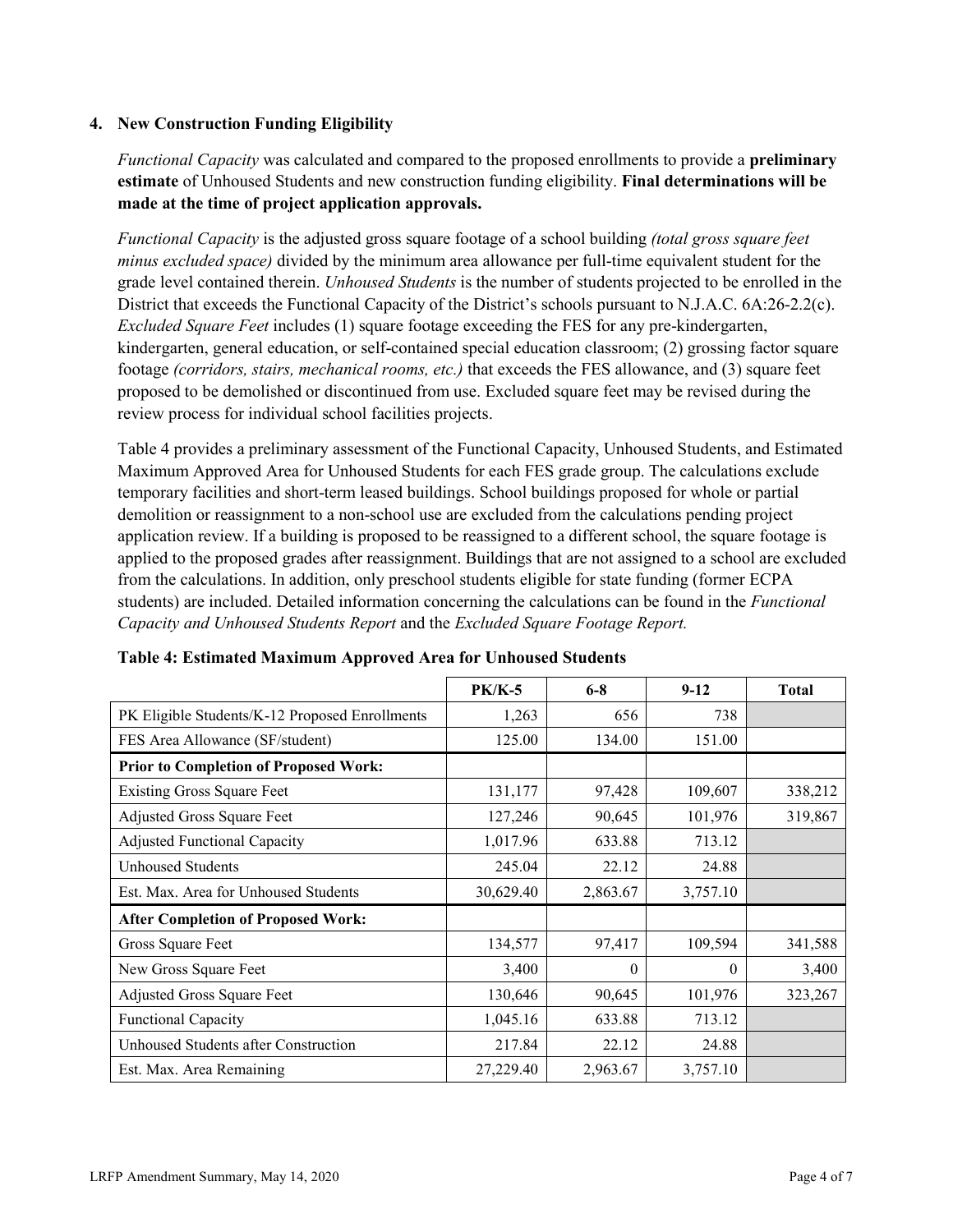### **4. New Construction Funding Eligibility**

*Functional Capacity* was calculated and compared to the proposed enrollments to provide a **preliminary estimate** of Unhoused Students and new construction funding eligibility. **Final determinations will be made at the time of project application approvals.**

*Functional Capacity* is the adjusted gross square footage of a school building *(total gross square feet minus excluded space)* divided by the minimum area allowance per full-time equivalent student for the grade level contained therein. *Unhoused Students* is the number of students projected to be enrolled in the District that exceeds the Functional Capacity of the District's schools pursuant to N.J.A.C. 6A:26-2.2(c). *Excluded Square Feet* includes (1) square footage exceeding the FES for any pre-kindergarten, kindergarten, general education, or self-contained special education classroom; (2) grossing factor square footage *(corridors, stairs, mechanical rooms, etc.)* that exceeds the FES allowance, and (3) square feet proposed to be demolished or discontinued from use. Excluded square feet may be revised during the review process for individual school facilities projects.

Table 4 provides a preliminary assessment of the Functional Capacity, Unhoused Students, and Estimated Maximum Approved Area for Unhoused Students for each FES grade group. The calculations exclude temporary facilities and short-term leased buildings. School buildings proposed for whole or partial demolition or reassignment to a non-school use are excluded from the calculations pending project application review. If a building is proposed to be reassigned to a different school, the square footage is applied to the proposed grades after reassignment. Buildings that are not assigned to a school are excluded from the calculations. In addition, only preschool students eligible for state funding (former ECPA students) are included. Detailed information concerning the calculations can be found in the *Functional Capacity and Unhoused Students Report* and the *Excluded Square Footage Report.*

|                                                | <b>PK/K-5</b> | $6 - 8$  | $9 - 12$ | <b>Total</b> |
|------------------------------------------------|---------------|----------|----------|--------------|
| PK Eligible Students/K-12 Proposed Enrollments | 1,263         | 656      | 738      |              |
| FES Area Allowance (SF/student)                | 125.00        | 134.00   | 151.00   |              |
| <b>Prior to Completion of Proposed Work:</b>   |               |          |          |              |
| <b>Existing Gross Square Feet</b>              | 131,177       | 97,428   | 109,607  | 338,212      |
| Adjusted Gross Square Feet                     | 127,246       | 90,645   | 101,976  | 319,867      |
| <b>Adjusted Functional Capacity</b>            | 1,017.96      | 633.88   | 713.12   |              |
| <b>Unhoused Students</b>                       | 245.04        | 22.12    | 24.88    |              |
| Est. Max. Area for Unhoused Students           | 30,629.40     | 2,863.67 | 3,757.10 |              |
| <b>After Completion of Proposed Work:</b>      |               |          |          |              |
| Gross Square Feet                              | 134,577       | 97,417   | 109,594  | 341,588      |
| New Gross Square Feet                          | 3,400         | $\theta$ | $\theta$ | 3,400        |
| Adjusted Gross Square Feet                     | 130,646       | 90,645   | 101,976  | 323,267      |
| Functional Capacity                            | 1,045.16      | 633.88   | 713.12   |              |
| Unhoused Students after Construction           | 217.84        | 22.12    | 24.88    |              |
| Est. Max. Area Remaining                       | 27,229.40     | 2,963.67 | 3,757.10 |              |

| Table 4: Estimated Maximum Approved Area for Unhoused Students |  |  |
|----------------------------------------------------------------|--|--|
|----------------------------------------------------------------|--|--|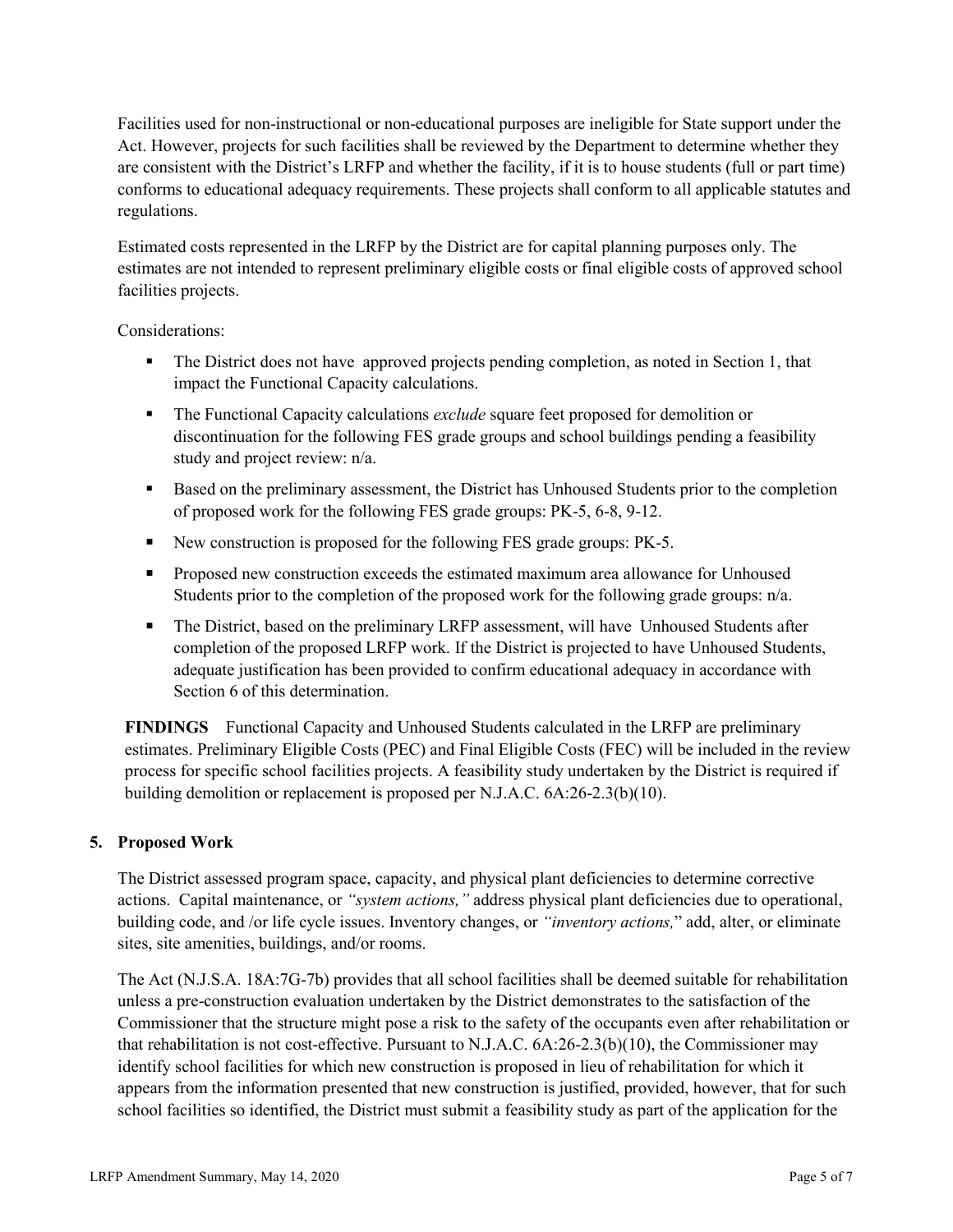Facilities used for non-instructional or non-educational purposes are ineligible for State support under the Act. However, projects for such facilities shall be reviewed by the Department to determine whether they are consistent with the District's LRFP and whether the facility, if it is to house students (full or part time) conforms to educational adequacy requirements. These projects shall conform to all applicable statutes and regulations.

Estimated costs represented in the LRFP by the District are for capital planning purposes only. The estimates are not intended to represent preliminary eligible costs or final eligible costs of approved school facilities projects.

Considerations:

- The District does not have approved projects pending completion, as noted in Section 1, that impact the Functional Capacity calculations.
- The Functional Capacity calculations *exclude* square feet proposed for demolition or discontinuation for the following FES grade groups and school buildings pending a feasibility study and project review: n/a.
- Based on the preliminary assessment, the District has Unhoused Students prior to the completion of proposed work for the following FES grade groups: PK-5, 6-8, 9-12.
- New construction is proposed for the following FES grade groups: PK-5.
- **Proposed new construction exceeds the estimated maximum area allowance for Unhoused** Students prior to the completion of the proposed work for the following grade groups:  $n/a$ .
- The District, based on the preliminary LRFP assessment, will have Unhoused Students after completion of the proposed LRFP work. If the District is projected to have Unhoused Students, adequate justification has been provided to confirm educational adequacy in accordance with Section 6 of this determination.

**FINDINGS** Functional Capacity and Unhoused Students calculated in the LRFP are preliminary estimates. Preliminary Eligible Costs (PEC) and Final Eligible Costs (FEC) will be included in the review process for specific school facilities projects. A feasibility study undertaken by the District is required if building demolition or replacement is proposed per N.J.A.C. 6A:26-2.3(b)(10).

# **5. Proposed Work**

The District assessed program space, capacity, and physical plant deficiencies to determine corrective actions. Capital maintenance, or *"system actions,"* address physical plant deficiencies due to operational, building code, and /or life cycle issues. Inventory changes, or *"inventory actions,*" add, alter, or eliminate sites, site amenities, buildings, and/or rooms.

The Act (N.J.S.A. 18A:7G-7b) provides that all school facilities shall be deemed suitable for rehabilitation unless a pre-construction evaluation undertaken by the District demonstrates to the satisfaction of the Commissioner that the structure might pose a risk to the safety of the occupants even after rehabilitation or that rehabilitation is not cost-effective. Pursuant to N.J.A.C. 6A:26-2.3(b)(10), the Commissioner may identify school facilities for which new construction is proposed in lieu of rehabilitation for which it appears from the information presented that new construction is justified, provided, however, that for such school facilities so identified, the District must submit a feasibility study as part of the application for the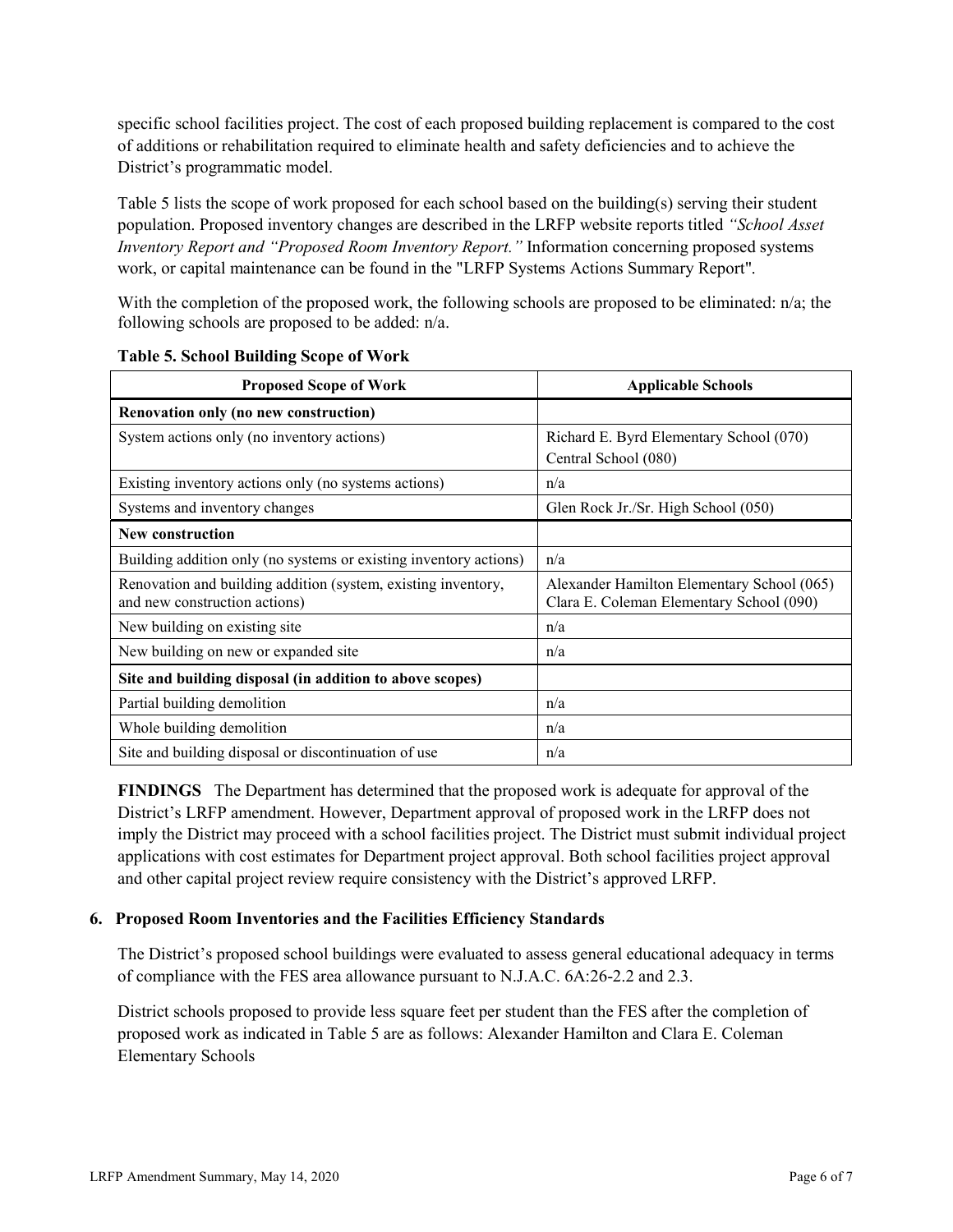specific school facilities project. The cost of each proposed building replacement is compared to the cost of additions or rehabilitation required to eliminate health and safety deficiencies and to achieve the District's programmatic model.

Table 5 lists the scope of work proposed for each school based on the building(s) serving their student population. Proposed inventory changes are described in the LRFP website reports titled *"School Asset Inventory Report and "Proposed Room Inventory Report."* Information concerning proposed systems work, or capital maintenance can be found in the "LRFP Systems Actions Summary Report".

With the completion of the proposed work, the following schools are proposed to be eliminated: n/a; the following schools are proposed to be added: n/a.

| <b>Proposed Scope of Work</b>                                                                  | <b>Applicable Schools</b>                                                              |
|------------------------------------------------------------------------------------------------|----------------------------------------------------------------------------------------|
| Renovation only (no new construction)                                                          |                                                                                        |
| System actions only (no inventory actions)                                                     | Richard E. Byrd Elementary School (070)<br>Central School (080)                        |
| Existing inventory actions only (no systems actions)                                           | n/a                                                                                    |
| Systems and inventory changes                                                                  | Glen Rock Jr./Sr. High School (050)                                                    |
| New construction                                                                               |                                                                                        |
| Building addition only (no systems or existing inventory actions)                              | n/a                                                                                    |
| Renovation and building addition (system, existing inventory,<br>and new construction actions) | Alexander Hamilton Elementary School (065)<br>Clara E. Coleman Elementary School (090) |
| New building on existing site                                                                  | n/a                                                                                    |
| New building on new or expanded site                                                           | n/a                                                                                    |
| Site and building disposal (in addition to above scopes)                                       |                                                                                        |
| Partial building demolition                                                                    | n/a                                                                                    |
| Whole building demolition                                                                      | n/a                                                                                    |
| Site and building disposal or discontinuation of use                                           | n/a                                                                                    |

**Table 5. School Building Scope of Work**

**FINDINGS** The Department has determined that the proposed work is adequate for approval of the District's LRFP amendment. However, Department approval of proposed work in the LRFP does not imply the District may proceed with a school facilities project. The District must submit individual project applications with cost estimates for Department project approval. Both school facilities project approval and other capital project review require consistency with the District's approved LRFP.

#### **6. Proposed Room Inventories and the Facilities Efficiency Standards**

The District's proposed school buildings were evaluated to assess general educational adequacy in terms of compliance with the FES area allowance pursuant to N.J.A.C. 6A:26-2.2 and 2.3.

District schools proposed to provide less square feet per student than the FES after the completion of proposed work as indicated in Table 5 are as follows: Alexander Hamilton and Clara E. Coleman Elementary Schools